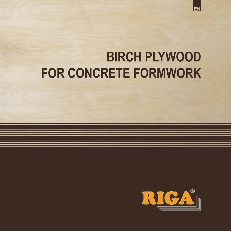

### **BIRCH PLYWOOD FOR CONCRETE FORMWORK**

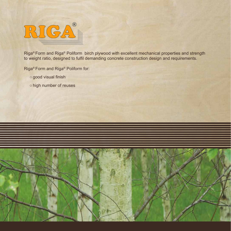

Riga® Form and Riga® Poliform birch plywood with excellent mechanical properties and strength to weight ratio, designed to fulfil demanding concrete construction design and requirements.

Riga® Form and Riga® Poliform for:

- good visual finish
- high number of reuses

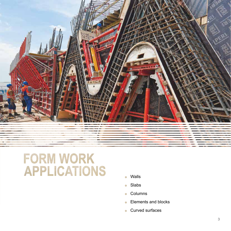

# FORM WORK<br>APPLICATIONS

- Walls  $\bigcirc$
- Slabs
- Columns
- **Elements and blocks**
- **Curved surfaces**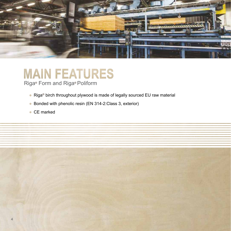

### **MAIN FEATURES**

Riga® Form and Riga® Poliform

- Riga<sup>®</sup> birch throughout plywood is made of legally sourced EU raw material
- Bonded with phenolic resin (EN 314-2:Class 3, exterior)
- CE marked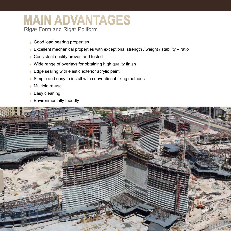### **MAIN ADVANTAGES** Riga® Form and Riga® Poliform

- Good load bearing properties
- Excellent mechanical properties with exceptional strength / weight / stability ratio
- Consistent quality proven and tested
- Wide range of overlays for obtaining high quality finish
- Edge sealing with elastic exterior acrylic paint
- Simple and easy to install with conventional fixing methods
- Multiple re-use
- Easy cleaning
- **Environmentally friendly**

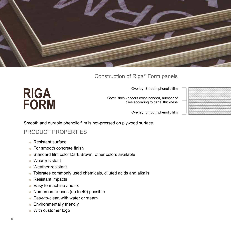

#### Construction of Riga® Form panels

Overlay: Smooth phenolic film

Core: Birch veneers cross bonded, number of plies according to panel thickness

Overlay: Smooth phenolic film

Smooth and durable phenolic film is hot-pressed on plywood surface.

#### PRODUCT PROPERTIES

**Resistant surface** 

**RIGA**

**FORM**

- For smooth concrete finish
- Standard film color Dark Brown, other colors available
- Wear resistant
- Weather resistant
- Tolerates commonly used chemicals, diluted acids and alkalis
- Resistant impacts
- Easy to machine and fix
- Numerous re-uses (up to 40) possible
- **Easy-to-clean with water or steam**
- **Environmentally friendly**
- With customer logo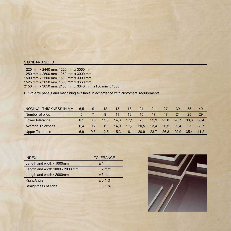#### STANDARD SIZES

1220 mm x 2440 mm, 1220 mm x 3050 mm 1250 mm x 2500 mm, 1250 mm x 3000 mm 1500 mm x 2500 mm, 1500 mm x 3000 mm 1525 mm x 3050 mm, 1500 mm x 3660 mm 2150 mm x 3050 mm, 2150 mm x 3340 mm, 2150 mm x 4000 mm

Cut-to-size panels and machining available in accordance with customers' requirements.

| NOMINAL THICKNESS IN MM  | 6.5 | 9   | 12                | 15   | 18            | 21   | 24   | 27   | 30   | 35        | 40   |
|--------------------------|-----|-----|-------------------|------|---------------|------|------|------|------|-----------|------|
| Number of plies          |     |     |                   | 11   | 13            | 15   |      |      | 21   | 25        | -29  |
| Lower tolerance          | 6.1 |     | 11.5              | 14.3 | $\sqrt{17.1}$ | 20   | 22,9 | 25.8 | 28.7 | 33.6 38.4 |      |
| <b>Average Thickness</b> | 6.4 | 9.2 | $12 \overline{ }$ | 14.9 | 17.7          | 20,5 | 23,4 | 26,5 | 29.4 | 35        | 38.7 |
| <b>Upper Tolerance</b>   | 6.9 | 9.5 | 12.5              | 15.3 | 18,1          | 20,9 | 23,7 | 26,8 | 29.9 | 35.4      | 41,2 |

| <b>INDEX</b>                    | <b>TOLERANCE</b> |
|---------------------------------|------------------|
| Length and width <1000mm        | $±1$ mm          |
| Length and width 1000 - 2000 mm | ± 2 mm           |
| Length and width> 2000mm        | ± 3 mm           |
| <b>Right Angle</b>              | ± 0.1 %          |
| Straightness of edge            | ± 0.1%           |

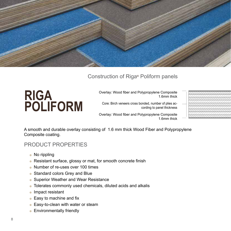

#### Construction of Riga® Poliform panels

### **RIGA POLIFORM**

Overlay: Wood fiber and Polypropylene Composite 1.6mm thick

Core: Birch veneers cross bonded, number of plies according to panel thickness



Overlay: Wood fiber and Polypropylene Composite 1.6mm thick

A smooth and durable overlay consisting of 1.6 mm thick Wood Fiber and Polypropylene Composite coating.

#### PRODUCT PROPERTIES

- No rippling
- Resistant surface, glossy or mat, for smooth concrete finish
- Number of re-uses over 100 times
- Standard colors Grey and Blue
- Superior Weather and Wear Resistance
- Tolerates commonly used chemicals, diluted acids and alkalis
- **Impact resistant**
- Easy to machine and fix
- Easy-to-clean with water or steam
- **Environmentally friendly**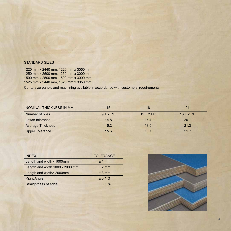#### STANDARD SIZES

1220 mm x 2440 mm, 1220 mm x 3050 mm 1250 mm x 2500 mm, 1250 mm x 3000 mm 1500 mm x 2500 mm, 1500 mm x 3000 mm 1525 mm x 2440 mm, 1525 mm x 3050 mm

Cut-to-size panels and machining available in accordance with customers' requirements.

| NOMINAL THICKNESS IN MM  | 15         | 18          | 21          |
|--------------------------|------------|-------------|-------------|
| Number of plies          | $9 + 2$ PP | $11 + 2$ PP | $13 + 2$ PP |
| Lower tolerance          | 14.8       | 17.4        | 20.7        |
| <b>Average Thickness</b> | 15.2       | 18.0        | 21.3        |
| <b>Upper Tolerance</b>   | 15.6       | 18.7        | 21.7        |

| <b>INDEX</b>                    | <b>TOLERANCE</b> |
|---------------------------------|------------------|
| Length and width <1000mm        | ± 1 mm           |
| Length and width 1000 - 2000 mm | $± 2$ mm         |
| Length and width> 2000mm        | $± 3$ mm         |
| <b>Right Angle</b>              | ± 0,1%           |
| Straightness of edge            | ± 0.1%           |

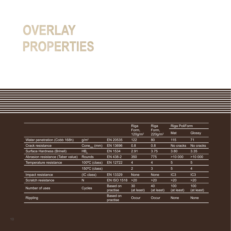### OVERLAY **PROPERTIES**

|                                   |                                        |                      | Riga                            | Riga                            | Riga PoliForm     |                   |
|-----------------------------------|----------------------------------------|----------------------|---------------------------------|---------------------------------|-------------------|-------------------|
|                                   |                                        |                      | Form,<br>$120$ g/m <sup>2</sup> | Form,<br>$220$ g/m <sup>2</sup> | Mat               | Glossy            |
| Water penetration (Cobb 168h)     | g/m <sup>2</sup>                       | EN 20535             | 122                             | 80                              | 115               | 71                |
| Crack resistance                  | $\overline{\mathsf{Cone}_{\min}}$ (mm) | EN 13696             | 0.8                             | 0.8                             | No cracks         | No cracks         |
| Surface Hardness (Brinell)        | $HB_{\iota}$                           | EN 1534              | 2.91                            | 3.75                            | 3.80              | 3.35              |
| Abrasion resistance (Taber value) | <b>Rounds</b>                          | EN 438-2             | 350                             | 775                             | >10000            | >10000            |
| Temperature resistance            | 100°C (class)                          | <b>EN 12722</b>      | 4                               | 4                               | 5                 | 5                 |
|                                   | 150°C (class)                          |                      | $\overline{2}$                  | 3                               | 5                 | $\overline{4}$    |
| Impact resistance                 | (IC class)                             | EN 13329             | <b>None</b>                     | None                            | IC3               | IC3               |
| Scratch resistance                | N                                      | <b>EN ISO 1518</b>   | >20                             | >20                             | >20               | $>20$             |
| Number of uses                    | Cycles                                 | Based on<br>practise | 30<br>(at least)                | 40<br>(at least)                | 100<br>(at least) | 100<br>(at least) |
| <b>Rippling</b>                   |                                        | Based on<br>practise | Occur                           | Occur                           | None              | None              |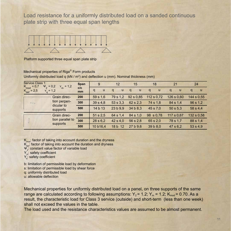Load resistance for a uniformly distributed load on a sanded continuous plate strip with three equal span lengths



Platform supported three equal span plate strip

#### Mechanical properties of Riga® Form products

Uniformly distributed load q (kN / m²) and deflection u (mm). Nominal thickness (mm)

| Service Class 1:<br>$K_{\text{mod}} = 0.7$<br>$\Psi$ <sub>2</sub> = 0,2<br>$Y_m = 1,2$ | Span      | 9        | 12       | 15        | 18         | 21         | 24         |
|----------------------------------------------------------------------------------------|-----------|----------|----------|-----------|------------|------------|------------|
| $K_{\text{def}} = 2.5$<br>$Y_{q} = 1,2$                                                | c/c<br>mm | u<br>q   | u<br>q   | u<br>q    | u<br>q     | q<br>u     | q<br>u     |
| Grain direc-                                                                           | 200       | 59 s 1.6 | 79 s 1.2 | 92 s 0.85 | 112 s 0,72 | 126 s 0.60 | 144 s 0,55 |
| tion perpen-<br>$\leftarrow$<br>dicular to                                             | 300       | 39 s 4,8 | 53 s 3.3 | 62 s 2.3  | 74 s 1,8   | 84 s 1.4   | 96 s 1,2   |
| supports                                                                               | 500       | 14 b 13  | 23b9.9   | 34 b 8.3  | 45 s 7.0   | 50 s 5.3   | 58 s 4,4   |
| Grain direc-                                                                           | 200       | 51 s 2.5 | 64 s 1.4 | 84 s 1,0  | 98 s 0.78  | 117 s 0,67 | 132 s 0,58 |
| tion parallel to                                                                       | 300       | 28 s 6.2 | 42 s 4.0 | 56 s 2.8  | 65 s 2.0   | 78 s 1.7   | 88 s 1.4   |
| supports                                                                               | 500       | 10 b16,4 | 18 b 12  | 27b9.6    | 39 b 8,0   | 47 s 6.2   | 53 s 4,9   |

 $K_{\text{mod}}$ : factor of taking into account duration and the dryness

 $K_{\text{def}}$ : factor of taking into account the duration and dryness

- $\Psi_{2}^{\phantom{\dag}}$ : constant value factor of variable load
- Y: safety coefficient
- Y<sub>q</sub>: safety coefficient

b: limitation of permissible load by deformation

s: limitation of permissible load by shear force

q: uniformly distributed load

u: allowable deflection

Mechanical properties for uniformly distributed load on a panel, on three supports of the same range are calculated according to following assumptions:  $Y_2 = 1.2$ ;  $Y_m = 1.2$ ;  $K_{mod} = 0.70$ . As a result, the characteristic load for Class 3 service (outside) and short-term (less than one week) shall not exceed the values in the table.

The load used and the resistance characteristics values are assumed to be almost permanent.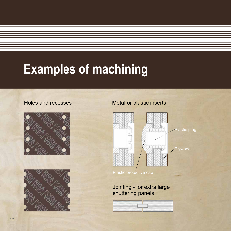### **Examples of machining**





#### Holes and recesses Metal or plastic inserts



Plastic protective cap

Jointing - for extra large shuttering panels

| the state of the control of the control process of the control of the control of the control of the con- |                           |
|----------------------------------------------------------------------------------------------------------|---------------------------|
|                                                                                                          | ------------------------- |
| <b>CONTRACTOR IN THE REPORT OF A STATE OF A PARTY.</b>                                                   |                           |
|                                                                                                          |                           |
|                                                                                                          |                           |
|                                                                                                          |                           |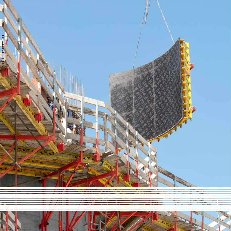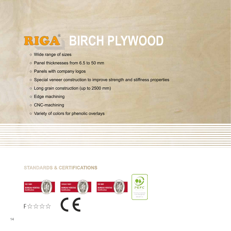## **BIGA<sup>®</sup> BIRCH PLYWOOD**

- Wide range of sizes
- Panel thicknesses from 6.5 to 50 mm
- Panels with company logos
- Special veneer construction to improve strength and stiffness properties
- Long grain construction (up to 2500 mm)
- Edge machining
- CNC-machining
- Variety of colors for phenolic overlays

#### **STANDARDS & CERTIFICATIONS**

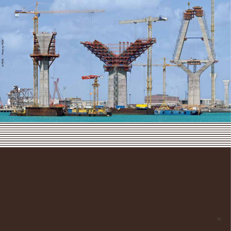